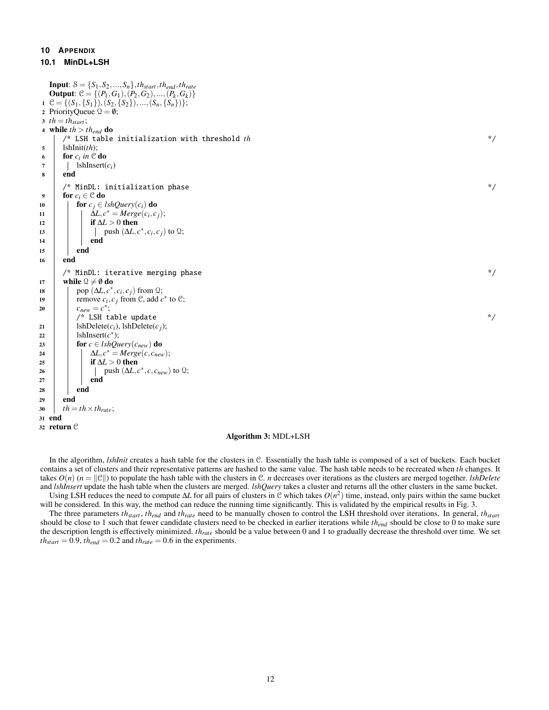## **10 APPENDIX**

```
10.1 MinDL+LSH
```

```
Input: S = \{S_1, S_2, ..., S_n\}, th<sub>start</sub>, th<sub>end</sub>, th<sub>rate</sub>
   Output: C = \{(P_1, G_1), (P_2, G_2), ..., (P_k, G_k)\}1 \mathcal{C} = \{(S_1, \{S_1\}), (S_2, \{S_2\}), ..., (S_n, \{S_n\})\};2 PriorityQueue Q = \emptyset;
3 th = th<sub>start</sub>;
4 while th > th_{end} do
       \gamma^* LSH table initialization with threshold th \gamma5 lshInit(th);
 6 for c_i in \mathcal C do
7 | lshInsert(c_i)
8 end
       /* MinDL: initialization phase \frac{1}{2} and \frac{1}{2} and \frac{1}{2} and \frac{1}{2} and \frac{1}{2} and \frac{1}{2} and \frac{1}{2} and \frac{1}{2} and \frac{1}{2} and \frac{1}{2} and \frac{1}{2} and \frac{1}{2} and \frac{1}{2} and \frac{1}{2}9 for c_i \in \mathcal{C} do
10 for c_j \in \text{lshQuery}(c_i) do
11 \Delta L, c^* = Merge(c_i, c_j);12 if \Delta L > 0 then
\Box push (\Delta L, c^*, c_i, c_j) to \Omega;
14 | | | end
15 end
16 end
       /* MinDL: iterative merging phase */
17 | while \mathcal{Q} \neq \emptyset do
\log \left( \Delta L, c^*, c_i, c_j \right) from \Omega;
19 | remove c_i, c_j from C, add c^* to C;
20 c_{new} = c^*;\gamma^* LSH table update \gamma^*21 | lshDelete(c_i), lshDelete(c_j);
22 | lshInsert(c^*);
23 for c \in \text{lshQuery}(c_{\text{new}}) do
24 \downarrow \Delta L, c^* = Merge(c, c_{new});25 i if \Delta L > 0 then
26 | | | push (\Delta L, c^*, c, c_{new}) to \Omega;
27 | | end
28 end
29 end
30 th = th \times th_{rate};
31 end
32 return C
```
## Algorithm 3: MDL+LSH

In the algorithm, *lshInit* creates a hash table for the clusters in C. Essentially the hash table is composed of a set of buckets. Each bucket contains a set of clusters and their representative patterns are hashed to the same value. The hash table needs to be recreated when *th* changes. It takes  $O(n)$  ( $n = ||\mathcal{C}||$ ) to populate the hash table with the clusters in C. *n* decreases over iterations as the clusters are merged together. *lshDelete* and *lshInsert* update the hash table when the clusters are merged. *lshQuery* takes a cluster and returns all the other clusters in the same bucket.

Using LSH reduces the need to compute ∆*L* for all pairs of clusters in C which takes *O*(*n* 2 ) time, instead, only pairs within the same bucket will be considered. In this way, the method can reduce the running time significantly. This is validated by the empirical results in Fig. [3.](#page--1-0)

The three parameters *thstart* , *thend* and *thrate* need to be manually chosen to control the LSH threshold over iterations. In general, *thstart* should be close to 1 such that fewer candidate clusters need to be checked in earlier iterations while *thend* should be close to 0 to make sure the description length is effectively minimized. *thrate* should be a value between 0 and 1 to gradually decrease the threshold over time. We set  $th_{start} = 0.9$ ,  $th_{end} = 0.2$  and  $th_{rate} = 0.6$  in the experiments.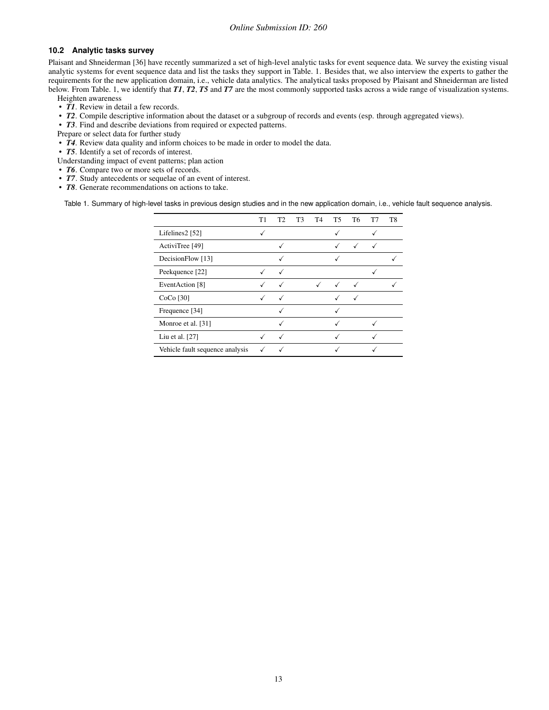## **10.2 Analytic tasks survey**

Plaisant and Shneiderman [\[36\]](#page--1-1) have recently summarized a set of high-level analytic tasks for event sequence data. We survey the existing visual analytic systems for event sequence data and list the tasks they support in Table. [1.](#page-1-0) Besides that, we also interview the experts to gather the requirements for the new application domain, i.e., vehicle data analytics. The analytical tasks proposed by Plaisant and Shneiderman are listed below. From Table. [1,](#page-1-0) we identify that *T1*, *T2*, *T5* and *T7* are the most commonly supported tasks across a wide range of visualization systems. Heighten awareness

• *T1*. Review in detail a few records.

- *T2*. Compile descriptive information about the dataset or a subgroup of records and events (esp. through aggregated views).
- *T3*. Find and describe deviations from required or expected patterns.
- Prepare or select data for further study
- *T4*. Review data quality and inform choices to be made in order to model the data.
- *T5*. Identify a set of records of interest.
- Understanding impact of event patterns; plan action
- *T6*. Compare two or more sets of records.
- *T7*. Study antecedents or sequelae of an event of interest.
- *T8*. Generate recommendations on actions to take.

<span id="page-1-0"></span>Table 1. Summary of high-level tasks in previous design studies and in the new application domain, i.e., vehicle fault sequence analysis.

|                                 | Τ1 | T <sub>2</sub> | T <sub>3</sub> | T4 | T5.          | T6           | T7 | T8 |
|---------------------------------|----|----------------|----------------|----|--------------|--------------|----|----|
| Lifelines2 [52]                 |    |                |                |    |              |              |    |    |
| ActiviTree [49]                 |    |                |                |    | √            | ✓            | √  |    |
| DecisionFlow [13]               |    |                |                |    |              |              |    |    |
| Peekquence [22]                 |    |                |                |    |              |              |    |    |
| EventAction [8]                 | ✓  | √              |                | √  | $\checkmark$ | $\checkmark$ |    |    |
| $CoCo$ [30]                     |    | $\checkmark$   |                |    |              | $\checkmark$ |    |    |
| Frequence [34]                  |    |                |                |    |              |              |    |    |
| Monroe et al. [31]              |    |                |                |    |              |              |    |    |
| Liu et al. [27]                 |    | √              |                |    |              |              |    |    |
| Vehicle fault sequence analysis |    |                |                |    |              |              |    |    |